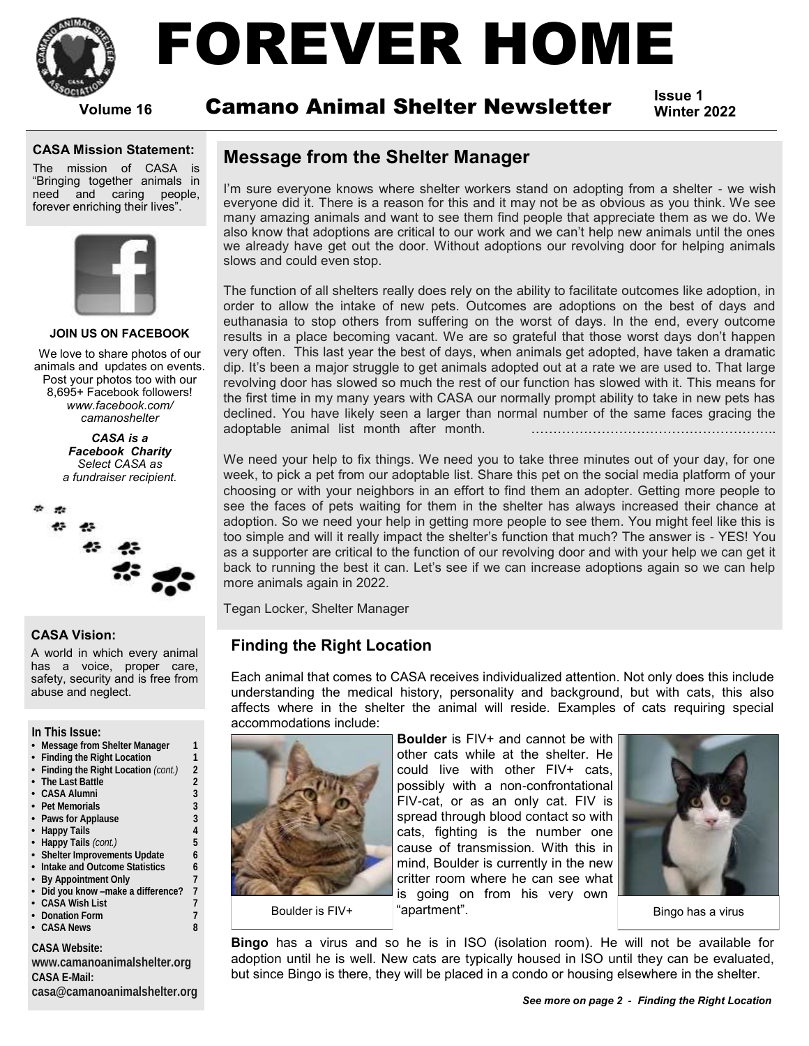

# FOREVER HOME

**Volume 16**

# **Issue 1** Camano Animal Shelter Newsletter **Winter 2022**

### **CASA Mission Statement:**

The mission of CASA is "Bringing together animals in need and caring people, forever enriching their lives".



### **JOIN US ON FACEBOOK**

We love to share photos of our animals and updates on events. Post your photos too with our 8,695+ Facebook followers! *www.facebook.com/ camanoshelter*

> *CASA is a Facebook Charity Select CASA as a fundraiser recipient.*



### **CASA Vision:**

A world in which every animal has a voice, proper care, safety, security and is free from abuse and neglect.

**In This Issue:**

- **• Message from Shelter Manager 1**
- **• Finding the Right Location 1**
- **• Finding the Right Location** *(cont.)* **2**
- **• The Last Battle 2**
- **• CASA Alumni 3 • Pet Memorials 3**
- **• Paws for Applause 3**
- **• Happy Tails 4**
- **• Happy Tails** *(cont.)* **5**
- **• Shelter Improvements Update 6**
- **• Intake and Outcome Statistics 6**
- **• By Appointment Only 7 • Did you know –make a difference? 7**
- **• CASA Wish List 7**
- **• Donation Form 7**
- **• CASA News 8**

**CASA Website:**

**[www.camanoanimalshelter.org](http://www.camanoanimalshelter.org) CASA E-Mail: [casa@camanoanimalshelter.org](mailto:casa@camanoanimalshelter.org)**

### **Message from the Shelter Manager**

I'm sure everyone knows where shelter workers stand on adopting from a shelter - we wish everyone did it. There is a reason for this and it may not be as obvious as you think. We see many amazing animals and want to see them find people that appreciate them as we do. We also know that adoptions are critical to our work and we can't help new animals until the ones we already have get out the door. Without adoptions our revolving door for helping animals slows and could even stop.

The function of all shelters really does rely on the ability to facilitate outcomes like adoption, in order to allow the intake of new pets. Outcomes are adoptions on the best of days and euthanasia to stop others from suffering on the worst of days. In the end, every outcome results in a place becoming vacant. We are so grateful that those worst days don't happen very often. This last year the best of days, when animals get adopted, have taken a dramatic dip. It's been a major struggle to get animals adopted out at a rate we are used to. That large revolving door has slowed so much the rest of our function has slowed with it. This means for the first time in my many years with CASA our normally prompt ability to take in new pets has declined. You have likely seen a larger than normal number of the same faces gracing the adoptable animal list month after month. ………………………………………………..

We need your help to fix things. We need you to take three minutes out of your day, for one week, to pick a pet from our adoptable list. Share this pet on the social media platform of your choosing or with your neighbors in an effort to find them an adopter. Getting more people to see the faces of pets waiting for them in the shelter has always increased their chance at adoption. So we need your help in getting more people to see them. You might feel like this is too simple and will it really impact the shelter's function that much? The answer is - YES! You as a supporter are critical to the function of our revolving door and with your help we can get it back to running the best it can. Let's see if we can increase adoptions again so we can help more animals again in 2022.

Tegan Locker, Shelter Manager

### **Finding the Right Location**

Each animal that comes to CASA receives individualized attention. Not only does this include understanding the medical history, personality and background, but with cats, this also affects where in the shelter the animal will reside. Examples of cats requiring special accommodations include:



**Boulder** is FIV+ and cannot be with other cats while at the shelter. He could live with other FIV+ cats, possibly with a non-confrontational FIV-cat, or as an only cat. FIV is spread through blood contact so with cats, fighting is the number one cause of transmission. With this in mind, Boulder is currently in the new critter room where he can see what is going on from his very own "apartment". Boulder is FIV+ The select of the selection of the Bingo has a virus in the Bingo has a virus



**Bingo** has a virus and so he is in ISO (isolation room). He will not be available for adoption until he is well. New cats are typically housed in ISO until they can be evaluated, but since Bingo is there, they will be placed in a condo or housing elsewhere in the shelter.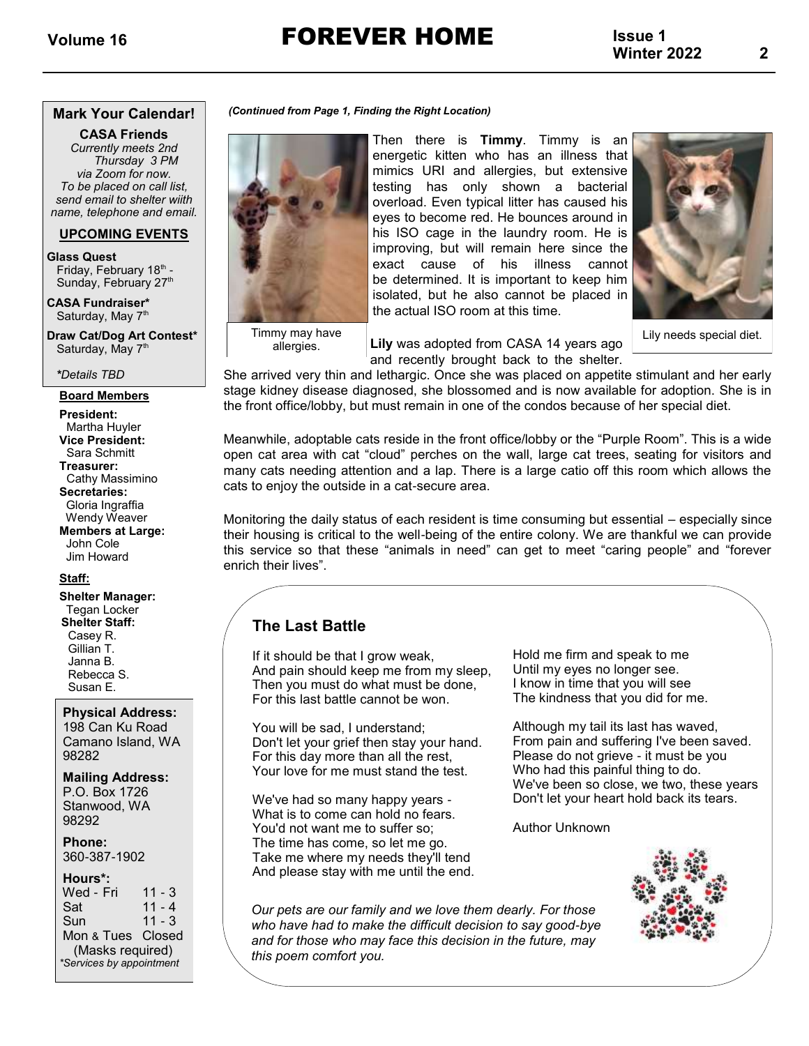**Volume 16** FOREVER HOME

**Issue 1 Winter 2022**

### **Mark Your Calendar!**

**CASA Friends** *Currently meets 2nd Thursday 3 PM via Zoom for now. To be placed on call list, send email to shelter wiith name, telephone and email.*

### **UPCOMING EVENTS**

**Glass Quest**

Friday, February 18<sup>th</sup> -Sunday, February 27<sup>th</sup>

**CASA Fundraiser\***  Saturday, May 7<sup>th</sup>

**Draw Cat/Dog Art Contest\*** Saturday, May 7<sup>th</sup>

*\*Details TBD*

### **Board Members**

**President:** Martha Huyler **Vice President:** Sara Schmitt **Treasurer:** Cathy Massimino **Secretaries:** Gloria Ingraffia Wendy Weaver **Members at Large:** John Cole Jim Howard

### **Staff:**

**Shelter Manager:** Tegan Locker  **Shelter Staff:** Casey R. Gillian T. Janna B. Rebecca S. Susan E.

### **Physical Address:**

198 Can Ku Road Camano Island, WA 98282

### **Mailing Address:**

P.O. Box 1726 Stanwood, WA 98292

**Phone:** 360-387-1902

### **Hours\*:**

| Wed - Fri                | $11 - 3$ |  |  |  |  |
|--------------------------|----------|--|--|--|--|
| Sat                      | $11 - 4$ |  |  |  |  |
| Sun                      | $11 - 3$ |  |  |  |  |
| Mon & Tues Closed        |          |  |  |  |  |
| (Masks required)         |          |  |  |  |  |
| *Services by appointment |          |  |  |  |  |

### *(Continued from Page 1, Finding the Right Location)*



allergies.

Then there is **Timmy**. Timmy is an energetic kitten who has an illness that mimics URI and allergies, but extensive testing has only shown a bacterial overload. Even typical litter has caused his eyes to become red. He bounces around in his ISO cage in the laundry room. He is improving, but will remain here since the exact cause of his illness cannot be determined. It is important to keep him isolated, but he also cannot be placed in the actual ISO room at this time.



**2**

Lily needs special diet.

**Lily** was adopted from CASA 14 years ago and recently brought back to the shelter.

She arrived very thin and lethargic. Once she was placed on appetite stimulant and her early stage kidney disease diagnosed, she blossomed and is now available for adoption. She is in the front office/lobby, but must remain in one of the condos because of her special diet.

Meanwhile, adoptable cats reside in the front office/lobby or the "Purple Room". This is a wide open cat area with cat "cloud" perches on the wall, large cat trees, seating for visitors and many cats needing attention and a lap. There is a large catio off this room which allows the cats to enjoy the outside in a cat-secure area.

Monitoring the daily status of each resident is time consuming but essential – especially since their housing is critical to the well-being of the entire colony. We are thankful we can provide this service so that these "animals in need" can get to meet "caring people" and "forever enrich their lives".

### **The Last Battle**

If it should be that I grow weak, And pain should keep me from my sleep, Then you must do what must be done, For this last battle cannot be won.

You will be sad, I understand; Don't let your grief then stay your hand. For this day more than all the rest, Your love for me must stand the test.

We've had so many happy years - What is to come can hold no fears. You'd not want me to suffer so; The time has come, so let me go. Take me where my needs they'll tend And please stay with me until the end. Hold me firm and speak to me Until my eyes no longer see. I know in time that you will see The kindness that you did for me.

Although my tail its last has waved, From pain and suffering I've been saved. Please do not grieve - it must be you Who had this painful thing to do. We've been so close, we two, these years Don't let your heart hold back its tears.

Author Unknown



*Our pets are our family and we love them dearly. For those who have had to make the difficult decision to say good-bye and for those who may face this decision in the future, may this poem comfort you.*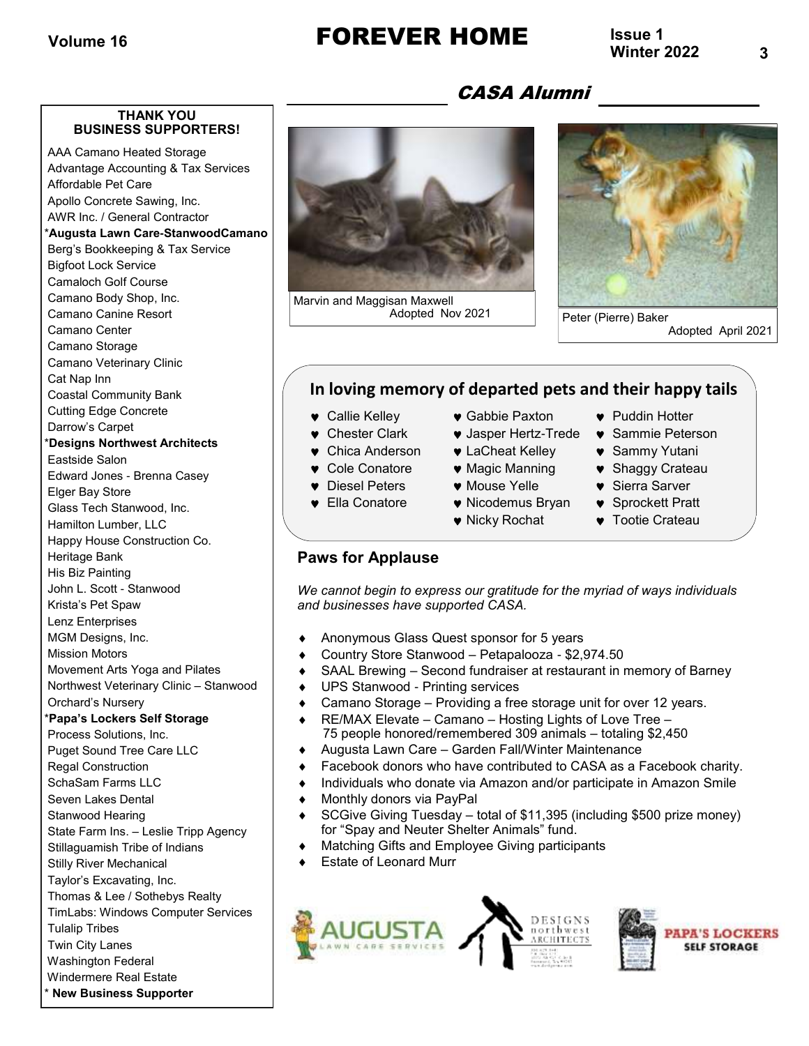# Volume 16 **FOREVER HOME** Issue 1

**Issue 1**

### **THANK YOU BUSINESS SUPPORTERS!**

AAA Camano Heated Storage Advantage Accounting & Tax Services Affordable Pet Care Apollo Concrete Sawing, Inc. AWR Inc. / General Contractor

### \***Augusta Lawn Care-StanwoodCamano**

Berg's Bookkeeping & Tax Service Bigfoot Lock Service Camaloch Golf Course Camano Body Shop, Inc. Camano Canine Resort Camano Center Camano Storage Camano Veterinary Clinic Cat Nap Inn Coastal Community Bank Cutting Edge Concrete Darrow's Carpet \***Designs Northwest Architects** Eastside Salon Edward Jones - Brenna Casey Elger Bay Store Glass Tech Stanwood, Inc. Hamilton Lumber, LLC Happy House Construction Co. Heritage Bank His Biz Painting John L. Scott - Stanwood Krista's Pet Spaw Lenz Enterprises MGM Designs, Inc. Mission Motors Movement Arts Yoga and Pilates Northwest Veterinary Clinic – Stanwood Orchard's Nursery \***Papa's Lockers Self Storage**  Process Solutions, Inc. Puget Sound Tree Care LLC Regal Construction SchaSam Farms LLC Seven Lakes Dental Stanwood Hearing State Farm Ins. – Leslie Tripp Agency Stillaguamish Tribe of Indians Stilly River Mechanical Taylor's Excavating, Inc. Thomas & Lee / Sothebys Realty TimLabs: Windows Computer Services Tulalip Tribes Twin City Lanes Washington Federal Windermere Real Estate

\* **New Business Supporter**

Marvin and Maggisan Maxwell



Adopted April 2021

### **In loving memory of departed pets and their happy tails**

CASA Alumni

- 
- 
- 
- 
- 
- 
- 
- 
- 
- 
- 
- 
- 
- 
- **Callie Kelley Gabbie Paxton Puddin Hotter**
- **•** Chester Clark Jasper Hertz-Trede Sammie Peterson
- **v** Chica Anderson **v** LaCheat Kelley **v** Sammy Yutani
- **Cole Conatore Magic Manning Shaggy Crateau**
- **v** Diesel Peters **v** Mouse Yelle **v** Sierra Sarver
- **•** Ella Conatore **•** Nicodemus Bryan Sprockett Pratt
	- $\bullet$  Nicky Rochat  $\bullet$  Tootie Crateau

### **Paws for Applause**

*We cannot begin to express our gratitude for the myriad of ways individuals and businesses have supported CASA.*

- Anonymous Glass Quest sponsor for 5 years
- Country Store Stanwood Petapalooza \$2,974.50
- SAAL Brewing Second fundraiser at restaurant in memory of Barney
- UPS Stanwood Printing services
- Camano Storage Providing a free storage unit for over 12 years.
- ◆ RE/MAX Elevate Camano Hosting Lights of Love Tree 75 people honored/remembered 309 animals – totaling \$2,450
- Augusta Lawn Care Garden Fall/Winter Maintenance
- Facebook donors who have contributed to CASA as a Facebook charity.
- Individuals who donate via Amazon and/or participate in Amazon Smile
- ◆ Monthly donors via PayPal
- SCGive Giving Tuesday total of \$11,395 (including \$500 prize money) for "Spay and Neuter Shelter Animals" fund.
- Matching Gifts and Employee Giving participants
- Estate of Leonard Murr



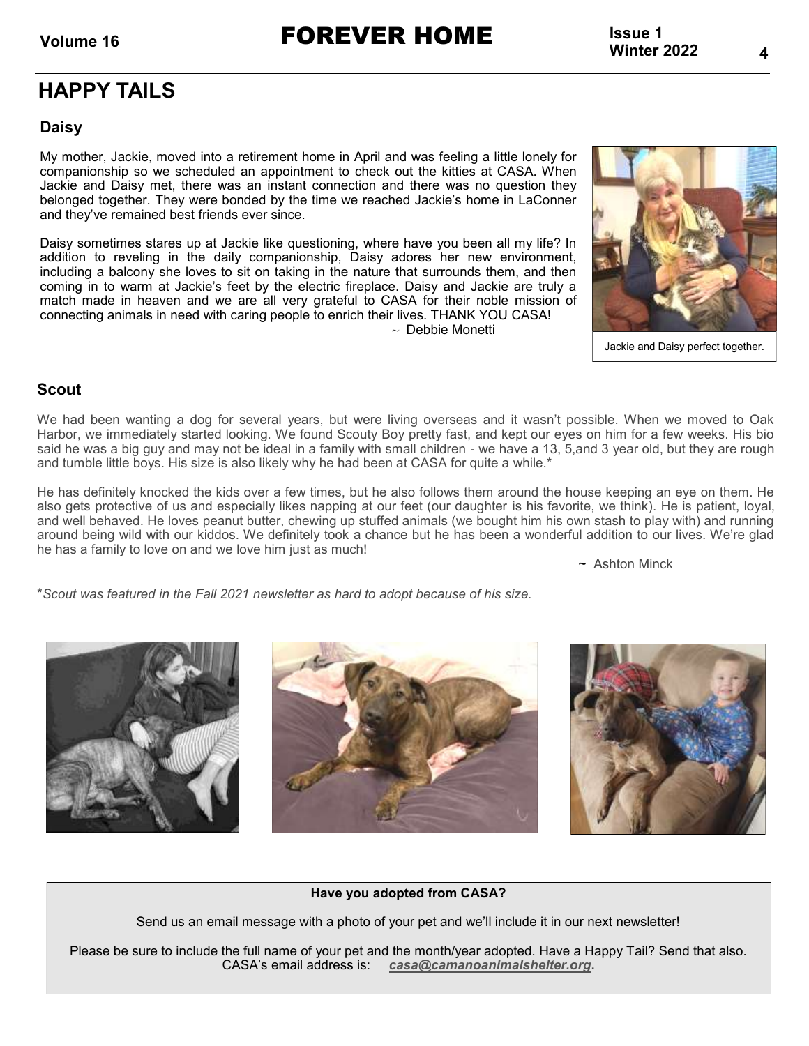Volume 16 **FOREVER HOME** Issue 1<br>Winter 2022

**Issue 1**

## **HAPPY TAILS**

### **Daisy**

My mother, Jackie, moved into a retirement home in April and was feeling a little lonely for companionship so we scheduled an appointment to check out the kitties at CASA. When Jackie and Daisy met, there was an instant connection and there was no question they belonged together. They were bonded by the time we reached Jackie's home in LaConner and they've remained best friends ever since.

Daisy sometimes stares up at Jackie like questioning, where have you been all my life? In addition to reveling in the daily companionship, Daisy adores her new environment, including a balcony she loves to sit on taking in the nature that surrounds them, and then coming in to warm at Jackie's feet by the electric fireplace. Daisy and Jackie are truly a match made in heaven and we are all very grateful to CASA for their noble mission of connecting animals in need with caring people to enrich their lives. THANK YOU CASA!  $\sim$  Debbie Monetti



Jackie and Daisy perfect together.

### **Scout**

We had been wanting a dog for several years, but were living overseas and it wasn't possible. When we moved to Oak Harbor, we immediately started looking. We found Scouty Boy pretty fast, and kept our eyes on him for a few weeks. His bio said he was a big guy and may not be ideal in a family with small children - we have a 13, 5,and 3 year old, but they are rough and tumble little boys. His size is also likely why he had been at CASA for quite a while.\*

He has definitely knocked the kids over a few times, but he also follows them around the house keeping an eye on them. He also gets protective of us and especially likes napping at our feet (our daughter is his favorite, we think). He is patient, loyal, and well behaved. He loves peanut butter, chewing up stuffed animals (we bought him his own stash to play with) and running around being wild with our kiddos. We definitely took a chance but he has been a wonderful addition to our lives. We're glad he has a family to love on and we love him just as much!

~ Ashton Minck

\**Scout was featured in the Fall 2021 newsletter as hard to adopt because of his size.*







### **Have you adopted from CASA?**

Send us an email message with a photo of your pet and we'll include it in our next newsletter!

Please be sure to include the full name of your pet and the month/year adopted. Have a Happy Tail? Send that also. CASA's email address is: *[casa@camanoanimalshelter.org](mailto:CASA@camanoanimalshelter.org)***.**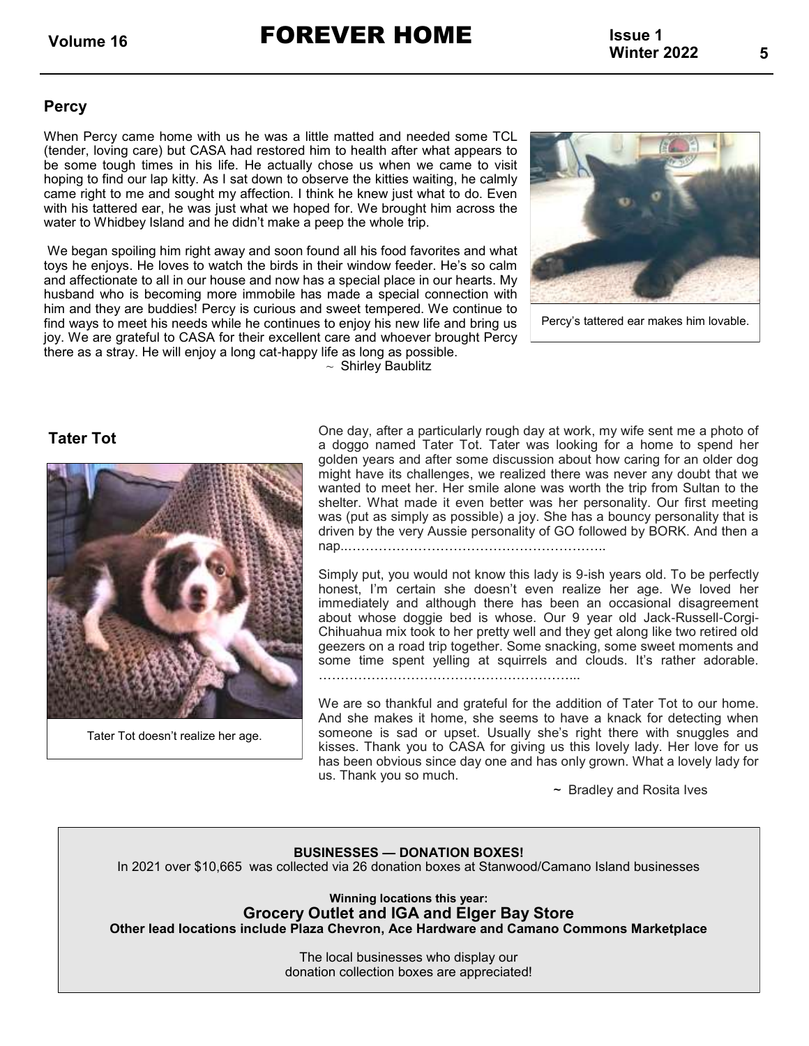Volume 16 **FOREVER HOME** Issue 1<br>Winter 2022

### **Percy**

When Percy came home with us he was a little matted and needed some TCL (tender, loving care) but CASA had restored him to health after what appears to be some tough times in his life. He actually chose us when we came to visit hoping to find our lap kitty. As I sat down to observe the kitties waiting, he calmly came right to me and sought my affection. I think he knew just what to do. Even with his tattered ear, he was just what we hoped for. We brought him across the water to Whidbey Island and he didn't make a peep the whole trip.

We began spoiling him right away and soon found all his food favorites and what toys he enjoys. He loves to watch the birds in their window feeder. He's so calm and affectionate to all in our house and now has a special place in our hearts. My husband who is becoming more immobile has made a special connection with him and they are buddies! Percy is curious and sweet tempered. We continue to find ways to meet his needs while he continues to enjoy his new life and bring us joy. We are grateful to CASA for their excellent care and whoever brought Percy there as a stray. He will enjoy a long cat-happy life as long as possible.

 $\sim$  Shirley Baublitz



Percy's tattered ear makes him lovable.

### **Tater Tot**



Tater Tot doesn't realize her age.

One day, after a particularly rough day at work, my wife sent me a photo of a doggo named Tater Tot. Tater was looking for a home to spend her golden years and after some discussion about how caring for an older dog might have its challenges, we realized there was never any doubt that we wanted to meet her. Her smile alone was worth the trip from Sultan to the shelter. What made it even better was her personality. Our first meeting was (put as simply as possible) a joy. She has a bouncy personality that is driven by the very Aussie personality of GO followed by BORK. And then a nap..…………………………………………………..

Simply put, you would not know this lady is 9-ish years old. To be perfectly honest, I'm certain she doesn't even realize her age. We loved her immediately and although there has been an occasional disagreement about whose doggie bed is whose. Our 9 year old Jack-Russell-Corgi-Chihuahua mix took to her pretty well and they get along like two retired old geezers on a road trip together. Some snacking, some sweet moments and some time spent yelling at squirrels and clouds. It's rather adorable. …………………………………………………...

We are so thankful and grateful for the addition of Tater Tot to our home. And she makes it home, she seems to have a knack for detecting when someone is sad or upset. Usually she's right there with snuggles and kisses. Thank you to CASA for giving us this lovely lady. Her love for us has been obvious since day one and has only grown. What a lovely lady for us. Thank you so much.

~ Bradley and Rosita Ives

### **BUSINESSES — DONATION BOXES!**

In 2021 over \$10,665 was collected via 26 donation boxes at Stanwood/Camano Island businesses

**Winning locations this year: Grocery Outlet and IGA and Elger Bay Store Other lead locations include Plaza Chevron, Ace Hardware and Camano Commons Marketplace**

> The local businesses who display our donation collection boxes are appreciated!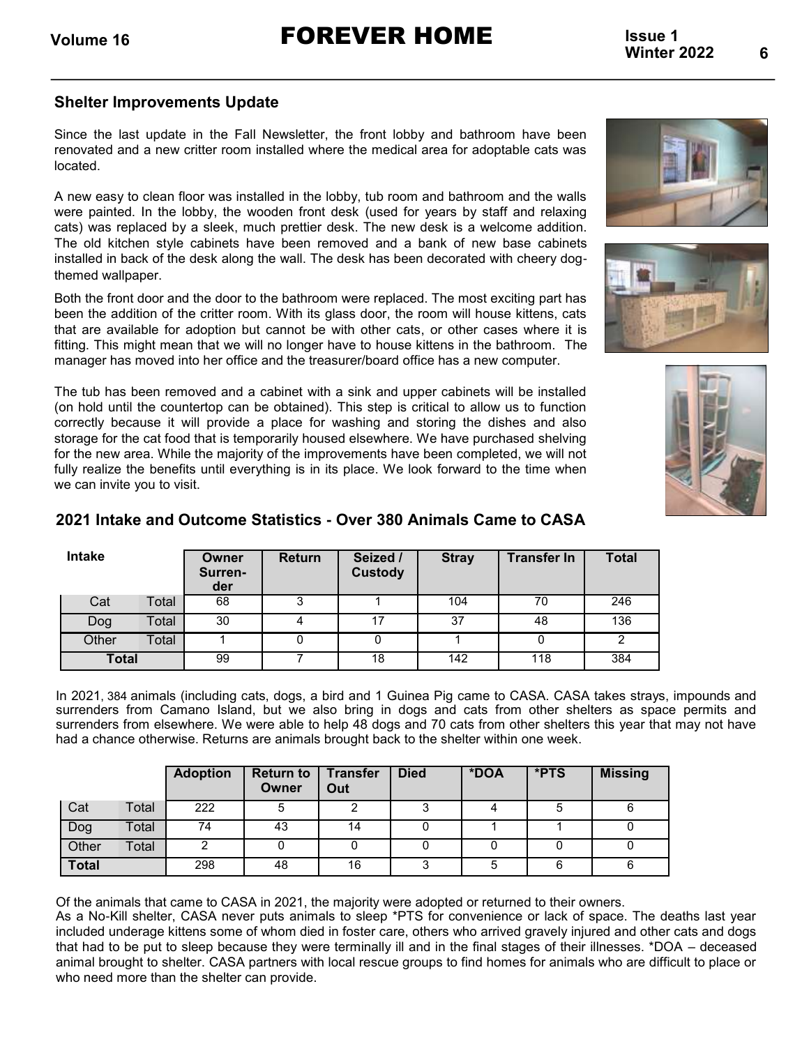### **Shelter Improvements Update**

Since the last update in the Fall Newsletter, the front lobby and bathroom have been renovated and a new critter room installed where the medical area for adoptable cats was located.

A new easy to clean floor was installed in the lobby, tub room and bathroom and the walls were painted. In the lobby, the wooden front desk (used for years by staff and relaxing cats) was replaced by a sleek, much prettier desk. The new desk is a welcome addition. The old kitchen style cabinets have been removed and a bank of new base cabinets installed in back of the desk along the wall. The desk has been decorated with cheery dogthemed wallpaper.

Both the front door and the door to the bathroom were replaced. The most exciting part has been the addition of the critter room. With its glass door, the room will house kittens, cats that are available for adoption but cannot be with other cats, or other cases where it is fitting. This might mean that we will no longer have to house kittens in the bathroom. The manager has moved into her office and the treasurer/board office has a new computer.

The tub has been removed and a cabinet with a sink and upper cabinets will be installed (on hold until the countertop can be obtained). This step is critical to allow us to function correctly because it will provide a place for washing and storing the dishes and also storage for the cat food that is temporarily housed elsewhere. We have purchased shelving for the new area. While the majority of the improvements have been completed, we will not fully realize the benefits until everything is in its place. We look forward to the time when we can invite you to visit.







| Intake       |       | Owner<br>Surren-<br>der | <b>Return</b> | Seized /<br><b>Custody</b> | <b>Stray</b> | <b>Transfer In</b> | <b>Total</b> |
|--------------|-------|-------------------------|---------------|----------------------------|--------------|--------------------|--------------|
| Cat          | Total | 68                      |               |                            | 104          | 70                 | 246          |
| Dog          | Total | 30                      |               | 17                         | 37           | 48                 | 136          |
| Other        | Total |                         | 0             |                            |              |                    | 2            |
| <b>Total</b> |       | 99                      |               | 18                         | 142          | 118                | 384          |

### **2021 Intake and Outcome Statistics - Over 380 Animals Came to CASA**

In 2021, 384 animals (including cats, dogs, a bird and 1 Guinea Pig came to CASA. CASA takes strays, impounds and surrenders from Camano Island, but we also bring in dogs and cats from other shelters as space permits and surrenders from elsewhere. We were able to help 48 dogs and 70 cats from other shelters this year that may not have had a chance otherwise. Returns are animals brought back to the shelter within one week.

|              |       | <b>Adoption</b> | <b>Return to</b><br>Owner | <b>Transfer</b><br>Out | <b>Died</b> | *DOA | *PTS | <b>Missing</b> |
|--------------|-------|-----------------|---------------------------|------------------------|-------------|------|------|----------------|
| Cat          | Total | 222             |                           |                        |             |      |      | 6              |
| Dog          | Total | 74              | 43                        | 14                     |             |      |      |                |
| Other        | Total |                 |                           |                        |             |      |      |                |
| <b>Total</b> |       | 298             | 48                        | 16                     |             |      |      | 6              |

Of the animals that came to CASA in 2021, the majority were adopted or returned to their owners.

As a No-Kill shelter, CASA never puts animals to sleep \*PTS for convenience or lack of space. The deaths last year included underage kittens some of whom died in foster care, others who arrived gravely injured and other cats and dogs that had to be put to sleep because they were terminally ill and in the final stages of their illnesses. \*DOA – deceased animal brought to shelter. CASA partners with local rescue groups to find homes for animals who are difficult to place or who need more than the shelter can provide.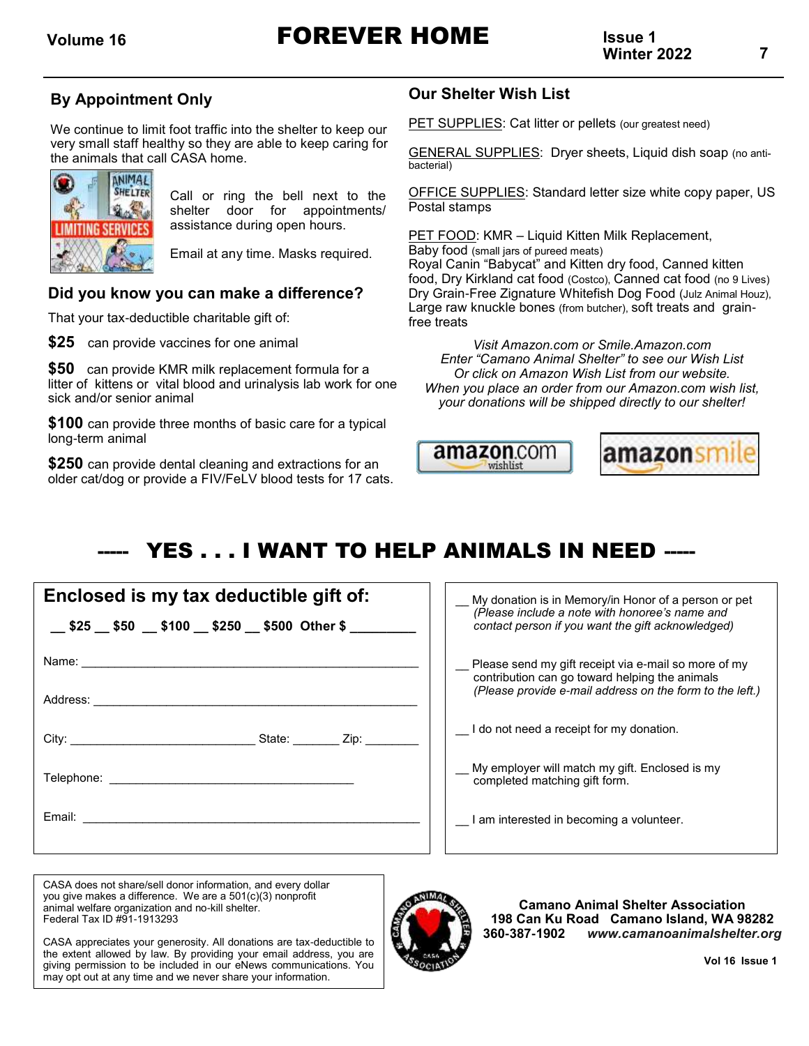### **By Appointment Only**

We continue to limit foot traffic into the shelter to keep our very small staff healthy so they are able to keep caring for the animals that call CASA home.



Call or ring the bell next to the shelter door for appointments/ assistance during open hours.

Email at any time. Masks required.

### **Did you know you can make a difference?**

That your tax-deductible charitable gift of:

**\$25** can provide vaccines for one animal

**\$50** can provide KMR milk replacement formula for a litter of kittens or vital blood and urinalysis lab work for one sick and/or senior animal

**\$100** can provide three months of basic care for a typical long-term animal

**\$250** can provide dental cleaning and extractions for an older cat/dog or provide a FIV/FeLV blood tests for 17 cats.

### **Our Shelter Wish List**

PET SUPPLIES: Cat litter or pellets (our greatest need)

GENERAL SUPPLIES: Dryer sheets, Liquid dish soap (no antibacterial)

OFFICE SUPPLIES: Standard letter size white copy paper, US Postal stamps

PET FOOD: KMR – Liquid Kitten Milk Replacement, Baby food (small jars of pureed meats) Royal Canin "Babycat" and Kitten dry food, Canned kitten food, Dry Kirkland cat food (Costco), Canned cat food (no 9 Lives) Dry Grain-Free Zignature Whitefish Dog Food (Julz Animal Houz), Large raw knuckle bones (from butcher), soft treats and grainfree treats

*Visit Amazon.com or Smile.Amazon.com Enter "Camano Animal Shelter" to see our Wish List Or click on Amazon Wish List from our website. When you place an order from our Amazon.com wish list, your donations will be shipped directly to our shelter!*



# YES . . . I WANT TO HELP ANIMALS IN NEED -----

| Enclosed is my tax deductible gift of:                    |  |  |  |  |
|-----------------------------------------------------------|--|--|--|--|
| __\$25 __\$50 __\$100 __ \$250 __ \$500 Other \$ ________ |  |  |  |  |
|                                                           |  |  |  |  |
|                                                           |  |  |  |  |
|                                                           |  |  |  |  |
|                                                           |  |  |  |  |
|                                                           |  |  |  |  |

My donation is in Memory/in Honor of a person or pet *(Please include a note with honoree's name and contact person if you want the gift acknowledged)* Please send my gift receipt via e-mail so more of my contribution can go toward helping the animals *(Please provide e-mail address on the form to the left.)* I do not need a receipt for my donation. \_\_ My employer will match my gift. Enclosed is my completed matching gift form. I am interested in becoming a volunteer.

CASA does not share/sell donor information, and every dollar you give makes a difference. We are a 501(c)(3) nonprofit animal welfare organization and no-kill shelter. Federal Tax ID #91-1913293

CASA appreciates your generosity. All donations are tax-deductible to the extent allowed by law. By providing your email address, you are giving permission to be included in our eNews communications. You may opt out at any time and we never share your information.



**Camano Animal Shelter Association 198 Can Ku Road Camano Island, WA 98282 360-387-1902** *[www.camanoanimalshelter.org](http://www.camanoanimalshelter.org)*

 **Vol 16 Issue 1**